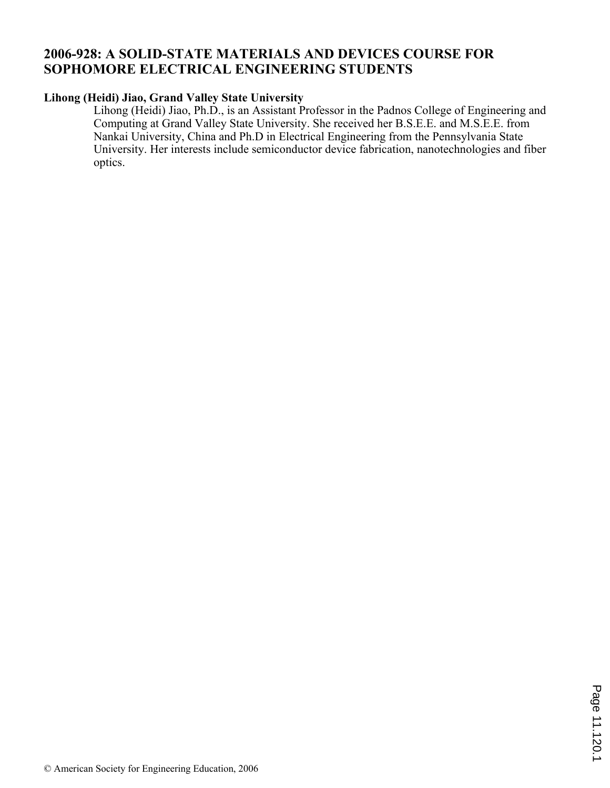# **2006-928: A SOLID-STATE MATERIALS AND DEVICES COURSE FOR SOPHOMORE ELECTRICAL ENGINEERING STUDENTS**

# **Lihong (Heidi) Jiao, Grand Valley State University**

Lihong (Heidi) Jiao, Ph.D., is an Assistant Professor in the Padnos College of Engineering and Computing at Grand Valley State University. She received her B.S.E.E. and M.S.E.E. from Nankai University, China and Ph.D in Electrical Engineering from the Pennsylvania State University. Her interests include semiconductor device fabrication, nanotechnologies and fiber optics.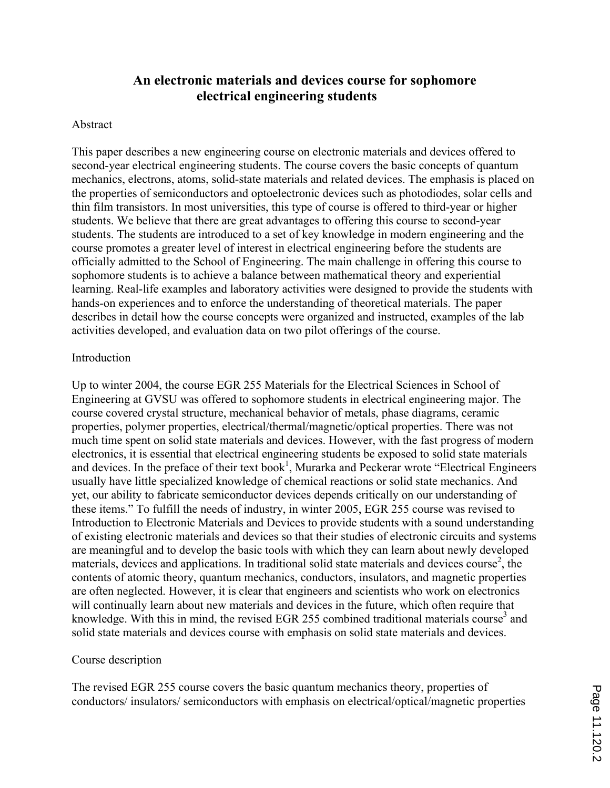# **An electronic materials and devices course for sophomore electrical engineering students**

### Abstract

This paper describes a new engineering course on electronic materials and devices offered to second-year electrical engineering students. The course covers the basic concepts of quantum mechanics, electrons, atoms, solid-state materials and related devices. The emphasis is placed on the properties of semiconductors and optoelectronic devices such as photodiodes, solar cells and thin film transistors. In most universities, this type of course is offered to third-year or higher students. We believe that there are great advantages to offering this course to second-year students. The students are introduced to a set of key knowledge in modern engineering and the course promotes a greater level of interest in electrical engineering before the students are officially admitted to the School of Engineering. The main challenge in offering this course to sophomore students is to achieve a balance between mathematical theory and experiential learning. Real-life examples and laboratory activities were designed to provide the students with hands-on experiences and to enforce the understanding of theoretical materials. The paper describes in detail how the course concepts were organized and instructed, examples of the lab activities developed, and evaluation data on two pilot offerings of the course.

#### **Introduction**

Up to winter 2004, the course EGR 255 Materials for the Electrical Sciences in School of Engineering at GVSU was offered to sophomore students in electrical engineering major. The course covered crystal structure, mechanical behavior of metals, phase diagrams, ceramic properties, polymer properties, electrical/thermal/magnetic/optical properties. There was not much time spent on solid state materials and devices. However, with the fast progress of modern electronics, it is essential that electrical engineering students be exposed to solid state materials and devices. In the preface of their text book<sup>1</sup>, Murarka and Peckerar wrote "Electrical Engineers" usually have little specialized knowledge of chemical reactions or solid state mechanics. And yet, our ability to fabricate semiconductor devices depends critically on our understanding of these items." To fulfill the needs of industry, in winter 2005, EGR 255 course was revised to Introduction to Electronic Materials and Devices to provide students with a sound understanding of existing electronic materials and devices so that their studies of electronic circuits and systems are meaningful and to develop the basic tools with which they can learn about newly developed materials, devices and applications. In traditional solid state materials and devices course<sup>2</sup>, the contents of atomic theory, quantum mechanics, conductors, insulators, and magnetic properties are often neglected. However, it is clear that engineers and scientists who work on electronics will continually learn about new materials and devices in the future, which often require that knowledge. With this in mind, the revised EGR 255 combined traditional materials course<sup>3</sup> and solid state materials and devices course with emphasis on solid state materials and devices.

### Course description

The revised EGR 255 course covers the basic quantum mechanics theory, properties of conductors/ insulators/ semiconductors with emphasis on electrical/optical/magnetic properties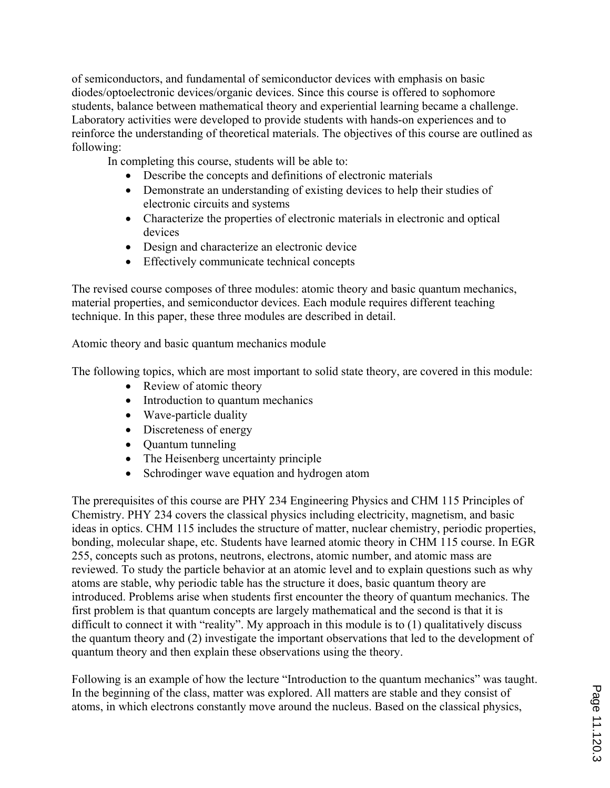of semiconductors, and fundamental of semiconductor devices with emphasis on basic diodes/optoelectronic devices/organic devices. Since this course is offered to sophomore students, balance between mathematical theory and experiential learning became a challenge. Laboratory activities were developed to provide students with hands-on experiences and to reinforce the understanding of theoretical materials. The objectives of this course are outlined as following:

In completing this course, students will be able to:

- ' Describe the concepts and definitions of electronic materials
- Demonstrate an understanding of existing devices to help their studies of electronic circuits and systems
- ' Characterize the properties of electronic materials in electronic and optical devices
- ' Design and characterize an electronic device
- ' Effectively communicate technical concepts

The revised course composes of three modules: atomic theory and basic quantum mechanics, material properties, and semiconductor devices. Each module requires different teaching technique. In this paper, these three modules are described in detail.

Atomic theory and basic quantum mechanics module

The following topics, which are most important to solid state theory, are covered in this module:

- Review of atomic theory
- Introduction to quantum mechanics
- Wave-particle duality
- Discreteness of energy
- ' Quantum tunneling
- The Heisenberg uncertainty principle
- ' Schrodinger wave equation and hydrogen atom

The prerequisites of this course are PHY 234 Engineering Physics and CHM 115 Principles of Chemistry. PHY 234 covers the classical physics including electricity, magnetism, and basic ideas in optics. CHM 115 includes the structure of matter, nuclear chemistry, periodic properties, bonding, molecular shape, etc. Students have learned atomic theory in CHM 115 course. In EGR 255, concepts such as protons, neutrons, electrons, atomic number, and atomic mass are reviewed. To study the particle behavior at an atomic level and to explain questions such as why atoms are stable, why periodic table has the structure it does, basic quantum theory are introduced. Problems arise when students first encounter the theory of quantum mechanics. The first problem is that quantum concepts are largely mathematical and the second is that it is difficult to connect it with "reality". My approach in this module is to (1) qualitatively discuss the quantum theory and (2) investigate the important observations that led to the development of quantum theory and then explain these observations using the theory.

Following is an example of how the lecture "Introduction to the quantum mechanics" was taught. In the beginning of the class, matter was explored. All matters are stable and they consist of atoms, in which electrons constantly move around the nucleus. Based on the classical physics,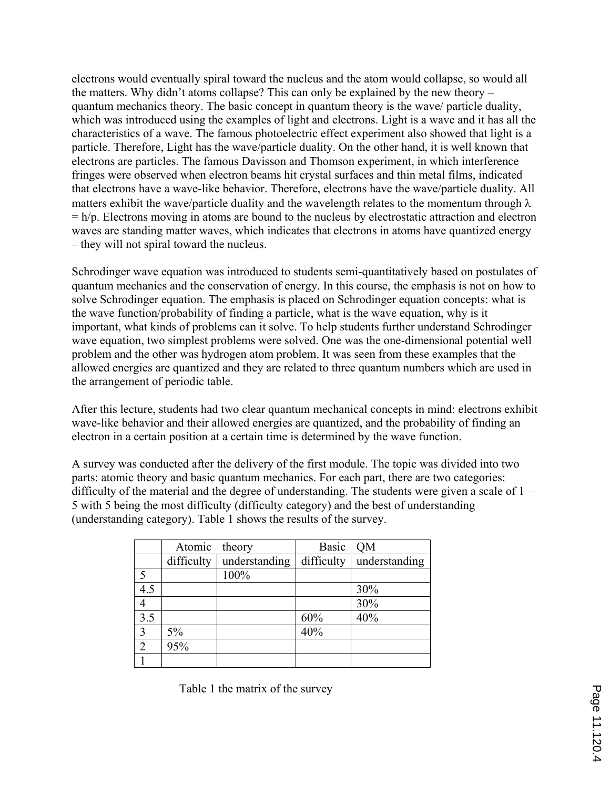electrons would eventually spiral toward the nucleus and the atom would collapse, so would all the matters. Why didn't atoms collapse? This can only be explained by the new theory – quantum mechanics theory. The basic concept in quantum theory is the wave/ particle duality, which was introduced using the examples of light and electrons. Light is a wave and it has all the characteristics of a wave. The famous photoelectric effect experiment also showed that light is a particle. Therefore, Light has the wave/particle duality. On the other hand, it is well known that electrons are particles. The famous Davisson and Thomson experiment, in which interference fringes were observed when electron beams hit crystal surfaces and thin metal films, indicated that electrons have a wave-like behavior. Therefore, electrons have the wave/particle duality. All matters exhibit the wave/particle duality and the wavelength relates to the momentum through  $\lambda$  $= h/p$ . Electrons moving in atoms are bound to the nucleus by electrostatic attraction and electron waves are standing matter waves, which indicates that electrons in atoms have quantized energy – they will not spiral toward the nucleus.

Schrodinger wave equation was introduced to students semi-quantitatively based on postulates of quantum mechanics and the conservation of energy. In this course, the emphasis is not on how to solve Schrodinger equation. The emphasis is placed on Schrodinger equation concepts: what is the wave function/probability of finding a particle, what is the wave equation, why is it important, what kinds of problems can it solve. To help students further understand Schrodinger wave equation, two simplest problems were solved. One was the one-dimensional potential well problem and the other was hydrogen atom problem. It was seen from these examples that the allowed energies are quantized and they are related to three quantum numbers which are used in the arrangement of periodic table.

After this lecture, students had two clear quantum mechanical concepts in mind: electrons exhibit wave-like behavior and their allowed energies are quantized, and the probability of finding an electron in a certain position at a certain time is determined by the wave function.

A survey was conducted after the delivery of the first module. The topic was divided into two parts: atomic theory and basic quantum mechanics. For each part, there are two categories: difficulty of the material and the degree of understanding. The students were given a scale of 1 – 5 with 5 being the most difficulty (difficulty category) and the best of understanding (understanding category). Table 1 shows the results of the survey.

|                | Atomic     | theory        | <b>Basic</b> | <b>OM</b>     |
|----------------|------------|---------------|--------------|---------------|
|                | difficulty | understanding | difficulty   | understanding |
| 5              |            | 100%          |              |               |
| 4.5            |            |               |              | 30%           |
| $\overline{4}$ |            |               |              | 30%           |
| 3.5            |            |               | 60%          | 40%           |
| 3              | 5%         |               | 40%          |               |
| $\overline{2}$ | 95%        |               |              |               |
|                |            |               |              |               |

Table 1 the matrix of the survey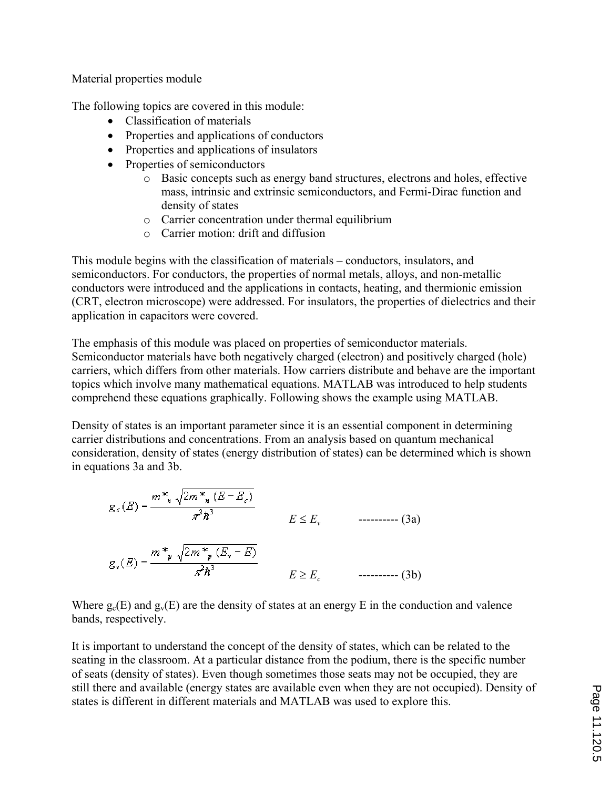Material properties module

The following topics are covered in this module:

- ' Classification of materials
- ' Properties and applications of conductors
- Properties and applications of insulators
- ' Properties of semiconductors
	- o Basic concepts such as energy band structures, electrons and holes, effective mass, intrinsic and extrinsic semiconductors, and Fermi-Dirac function and density of states
	- o Carrier concentration under thermal equilibrium
	- o Carrier motion: drift and diffusion

This module begins with the classification of materials – conductors, insulators, and semiconductors. For conductors, the properties of normal metals, alloys, and non-metallic conductors were introduced and the applications in contacts, heating, and thermionic emission (CRT, electron microscope) were addressed. For insulators, the properties of dielectrics and their application in capacitors were covered.

The emphasis of this module was placed on properties of semiconductor materials. Semiconductor materials have both negatively charged (electron) and positively charged (hole) carriers, which differs from other materials. How carriers distribute and behave are the important topics which involve many mathematical equations. MATLAB was introduced to help students comprehend these equations graphically. Following shows the example using MATLAB.

Density of states is an important parameter since it is an essential component in determining carrier distributions and concentrations. From an analysis based on quantum mechanical consideration, density of states (energy distribution of states) can be determined which is shown in equations 3a and 3b.

$$
g_{\epsilon}(E) = \frac{m^*_{\mathbf{x}} \sqrt{2m^*_{\mathbf{x}} (E - E_{\epsilon})}}{\pi^2 \hbar^3}
$$
  
\n
$$
E \le E_{\nu} \qquad \qquad (3a)
$$
  
\n
$$
g_{\mathbf{y}}(E) = \frac{m^*_{\mathbf{y}} \sqrt{2m^*_{\mathbf{y}} (E_{\mathbf{y}} - E)}}{\pi^2 \hbar^3}
$$
  
\n
$$
E \ge E_{\epsilon} \qquad \qquad (3b)
$$

Where  $g_c(E)$  and  $g_v(E)$  are the density of states at an energy E in the conduction and valence bands, respectively.

It is important to understand the concept of the density of states, which can be related to the seating in the classroom. At a particular distance from the podium, there is the specific number of seats (density of states). Even though sometimes those seats may not be occupied, they are still there and available (energy states are available even when they are not occupied). Density of states is different in different materials and MATLAB was used to explore this.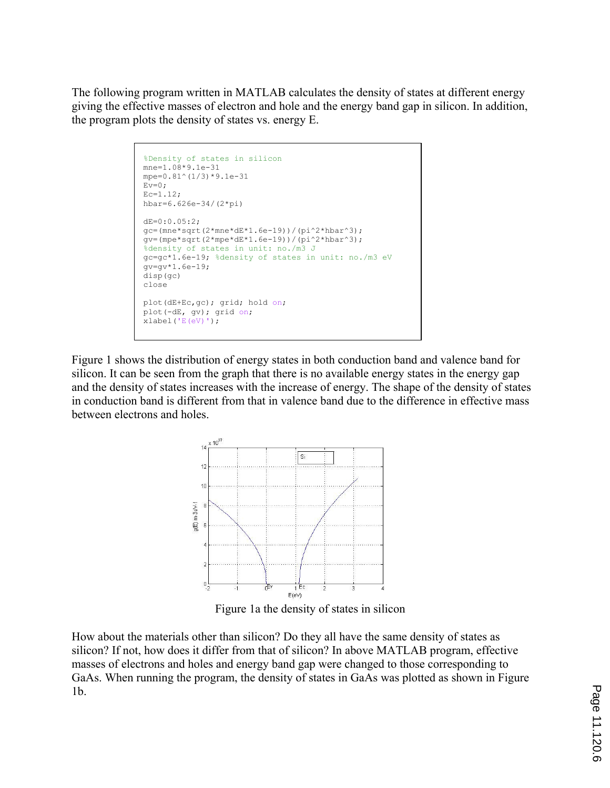The following program written in MATLAB calculates the density of states at different energy giving the effective masses of electron and hole and the energy band gap in silicon. In addition, the program plots the density of states vs. energy E.

```
%Density of states in silicon
mne=1.08*9.1e-31 
mpe=0.81^(1/3)*9.1e-31 
Ev=0:
Ec=1.12; 
hbar=6.626e-34/(2*pi) 
dE=0:0.05:2; 
gc=(mne*sqrt(2*mne*dE*1.6e-19))/(pi^2*hbar^3); 
qv=(mpe*sqrt(2*mpe*dE*1.6e-19))/(pi^2*hbar^3);%density of states in unit: no./m3 J
gc=gc*1.6e-19; %density of states in unit: no./m3 eV
gv=gv*1.6e-19; 
disp(gc) 
close 
plot(dE+Ec,gc); grid; hold on; 
plot(-dE, gv); grid on; 
xlabel('E(eV)');
```
Figure 1 shows the distribution of energy states in both conduction band and valence band for silicon. It can be seen from the graph that there is no available energy states in the energy gap and the density of states increases with the increase of energy. The shape of the density of states in conduction band is different from that in valence band due to the difference in effective mass between electrons and holes.



Figure 1a the density of states in silicon

How about the materials other than silicon? Do they all have the same density of states as silicon? If not, how does it differ from that of silicon? In above MATLAB program, effective masses of electrons and holes and energy band gap were changed to those corresponding to GaAs. When running the program, the density of states in GaAs was plotted as shown in Figure 1b.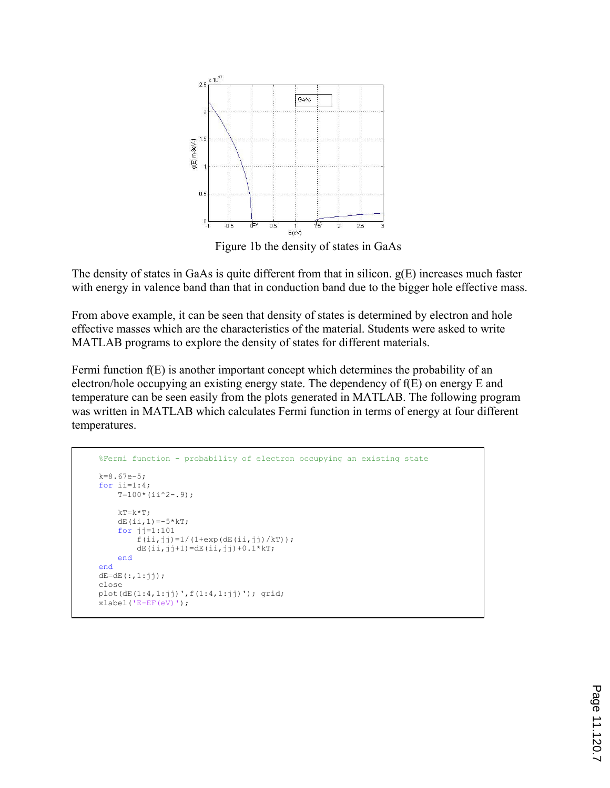

Figure 1b the density of states in GaAs

The density of states in GaAs is quite different from that in silicon. g(E) increases much faster with energy in valence band than that in conduction band due to the bigger hole effective mass.

From above example, it can be seen that density of states is determined by electron and hole effective masses which are the characteristics of the material. Students were asked to write MATLAB programs to explore the density of states for different materials.

Fermi function f(E) is another important concept which determines the probability of an electron/hole occupying an existing energy state. The dependency of f(E) on energy E and temperature can be seen easily from the plots generated in MATLAB. The following program was written in MATLAB which calculates Fermi function in terms of energy at four different temperatures.

```
%Fermi function - probability of electron occupying an existing state
k=8.67e-5; 
for ii=1:4; 
    T=100*(i i^2-.9);kT=k*T;dE(ii,1) = -5*kT;
     for jj=1:101 
        f(i, jj)=1/(1+exp(dE(i, jj))/kT);
        dE(i, jj+1) = dE(i, jj) + 0.1*kT; end
end
dE = dE(:,1:jj);close 
plot(dE(1:4,1:ij)',f(1:4,1:ij)'); grid;
xlabel('E-EF(eV)');
```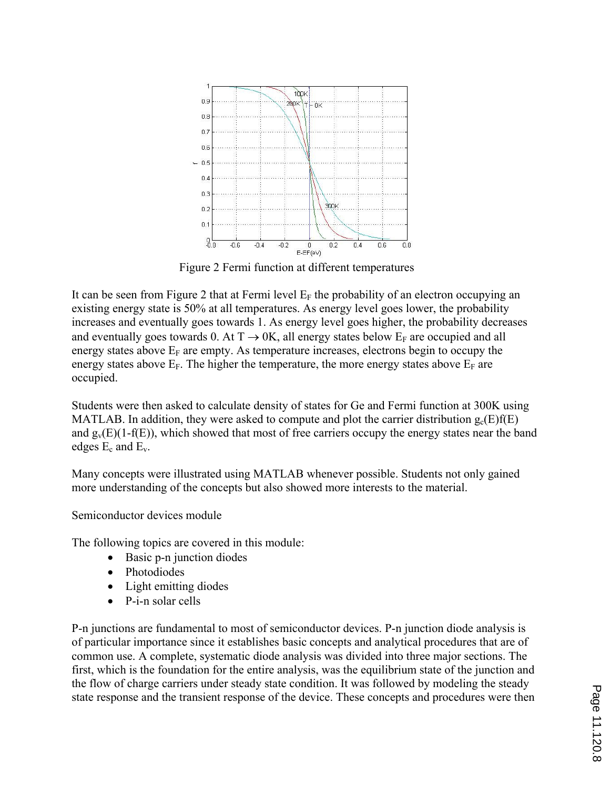

Figure 2 Fermi function at different temperatures

It can be seen from Figure 2 that at Fermi level  $E_F$  the probability of an electron occupying an existing energy state is 50% at all temperatures. As energy level goes lower, the probability increases and eventually goes towards 1. As energy level goes higher, the probability decreases and eventually goes towards 0. At  $T \rightarrow 0K$ , all energy states below  $E_F$  are occupied and all energy states above  $E_F$  are empty. As temperature increases, electrons begin to occupy the energy states above  $E_F$ . The higher the temperature, the more energy states above  $E_F$  are occupied.

Students were then asked to calculate density of states for Ge and Fermi function at 300K using MATLAB. In addition, they were asked to compute and plot the carrier distribution  $g_c(E)f(E)$ and  $g_v(E)(1-f(E))$ , which showed that most of free carriers occupy the energy states near the band edges  $E_c$  and  $E_v$ .

Many concepts were illustrated using MATLAB whenever possible. Students not only gained more understanding of the concepts but also showed more interests to the material.

Semiconductor devices module

The following topics are covered in this module:

- ' Basic p-n junction diodes
- Photodiodes
- Light emitting diodes
- P-i-n solar cells

P-n junctions are fundamental to most of semiconductor devices. P-n junction diode analysis is of particular importance since it establishes basic concepts and analytical procedures that are of common use. A complete, systematic diode analysis was divided into three major sections. The first, which is the foundation for the entire analysis, was the equilibrium state of the junction and the flow of charge carriers under steady state condition. It was followed by modeling the steady state response and the transient response of the device. These concepts and procedures were then